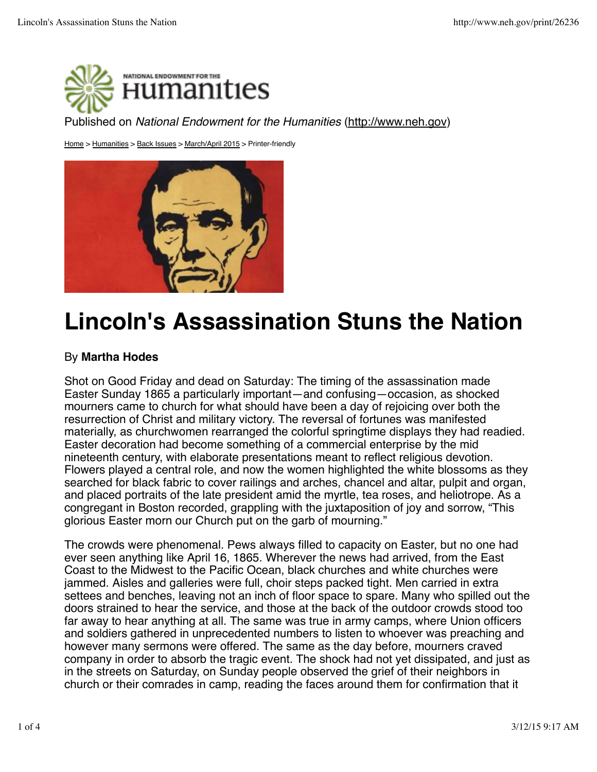

## Published on *National Endowment for the Humanities* (http://www.neh.gov)

Home > Humanities > Back Issues > March/April 2015 > Printer-friendly



# **Lincoln's Assassination Stuns the Nation**

## By **Martha Hodes**

Shot on Good Friday and dead on Saturday: The timing of the assassination made Easter Sunday 1865 a particularly important—and confusing—occasion, as shocked mourners came to church for what should have been a day of rejoicing over both the resurrection of Christ and military victory. The reversal of fortunes was manifested materially, as churchwomen rearranged the colorful springtime displays they had readied. Easter decoration had become something of a commercial enterprise by the mid nineteenth century, with elaborate presentations meant to reflect religious devotion. Flowers played a central role, and now the women highlighted the white blossoms as they searched for black fabric to cover railings and arches, chancel and altar, pulpit and organ, and placed portraits of the late president amid the myrtle, tea roses, and heliotrope. As a congregant in Boston recorded, grappling with the juxtaposition of joy and sorrow, "This glorious Easter morn our Church put on the garb of mourning."

The crowds were phenomenal. Pews always filled to capacity on Easter, but no one had ever seen anything like April 16, 1865. Wherever the news had arrived, from the East Coast to the Midwest to the Pacific Ocean, black churches and white churches were jammed. Aisles and galleries were full, choir steps packed tight. Men carried in extra settees and benches, leaving not an inch of floor space to spare. Many who spilled out the doors strained to hear the service, and those at the back of the outdoor crowds stood too far away to hear anything at all. The same was true in army camps, where Union officers and soldiers gathered in unprecedented numbers to listen to whoever was preaching and however many sermons were offered. The same as the day before, mourners craved company in order to absorb the tragic event. The shock had not yet dissipated, and just as in the streets on Saturday, on Sunday people observed the grief of their neighbors in church or their comrades in camp, reading the faces around them for confirmation that it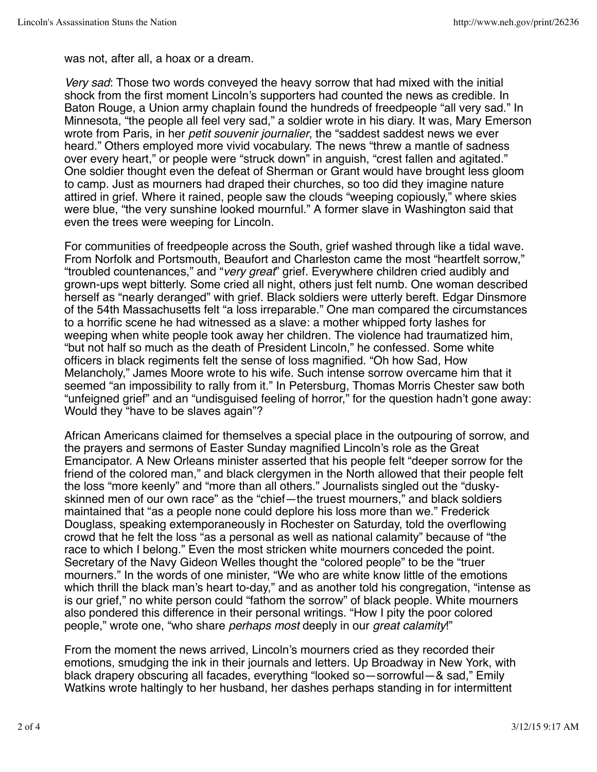was not, after all, a hoax or a dream.

*Very sad*: Those two words conveyed the heavy sorrow that had mixed with the initial shock from the first moment Lincoln's supporters had counted the news as credible. In Baton Rouge, a Union army chaplain found the hundreds of freedpeople "all very sad." In Minnesota, "the people all feel very sad," a soldier wrote in his diary. It was, Mary Emerson wrote from Paris, in her *petit souvenir journalier*, the "saddest saddest news we ever heard." Others employed more vivid vocabulary. The news "threw a mantle of sadness over every heart," or people were "struck down" in anguish, "crest fallen and agitated." One soldier thought even the defeat of Sherman or Grant would have brought less gloom to camp. Just as mourners had draped their churches, so too did they imagine nature attired in grief. Where it rained, people saw the clouds "weeping copiously," where skies were blue, "the very sunshine looked mournful." A former slave in Washington said that even the trees were weeping for Lincoln.

For communities of freedpeople across the South, grief washed through like a tidal wave. From Norfolk and Portsmouth, Beaufort and Charleston came the most "heartfelt sorrow," "troubled countenances," and "*very great*" grief. Everywhere children cried audibly and grown-ups wept bitterly. Some cried all night, others just felt numb. One woman described herself as "nearly deranged" with grief. Black soldiers were utterly bereft. Edgar Dinsmore of the 54th Massachusetts felt "a loss irreparable." One man compared the circumstances to a horrific scene he had witnessed as a slave: a mother whipped forty lashes for weeping when white people took away her children. The violence had traumatized him, "but not half so much as the death of President Lincoln," he confessed. Some white officers in black regiments felt the sense of loss magnified. "Oh how Sad, How Melancholy," James Moore wrote to his wife. Such intense sorrow overcame him that it seemed "an impossibility to rally from it." In Petersburg, Thomas Morris Chester saw both "unfeigned grief" and an "undisguised feeling of horror," for the question hadn't gone away: Would they "have to be slaves again"?

African Americans claimed for themselves a special place in the outpouring of sorrow, and the prayers and sermons of Easter Sunday magnified Lincoln's role as the Great Emancipator. A New Orleans minister asserted that his people felt "deeper sorrow for the friend of the colored man," and black clergymen in the North allowed that their people felt the loss "more keenly" and "more than all others." Journalists singled out the "duskyskinned men of our own race" as the "chief—the truest mourners," and black soldiers maintained that "as a people none could deplore his loss more than we." Frederick Douglass, speaking extemporaneously in Rochester on Saturday, told the overflowing crowd that he felt the loss "as a personal as well as national calamity" because of "the race to which I belong." Even the most stricken white mourners conceded the point. Secretary of the Navy Gideon Welles thought the "colored people" to be the "truer mourners." In the words of one minister, "We who are white know little of the emotions which thrill the black man's heart to-day," and as another told his congregation, "intense as is our grief," no white person could "fathom the sorrow" of black people. White mourners also pondered this difference in their personal writings. "How I pity the poor colored people," wrote one, "who share *perhaps most* deeply in our *great calamity*!"

From the moment the news arrived, Lincoln's mourners cried as they recorded their emotions, smudging the ink in their journals and letters. Up Broadway in New York, with black drapery obscuring all facades, everything "looked so—sorrowful—& sad," Emily Watkins wrote haltingly to her husband, her dashes perhaps standing in for intermittent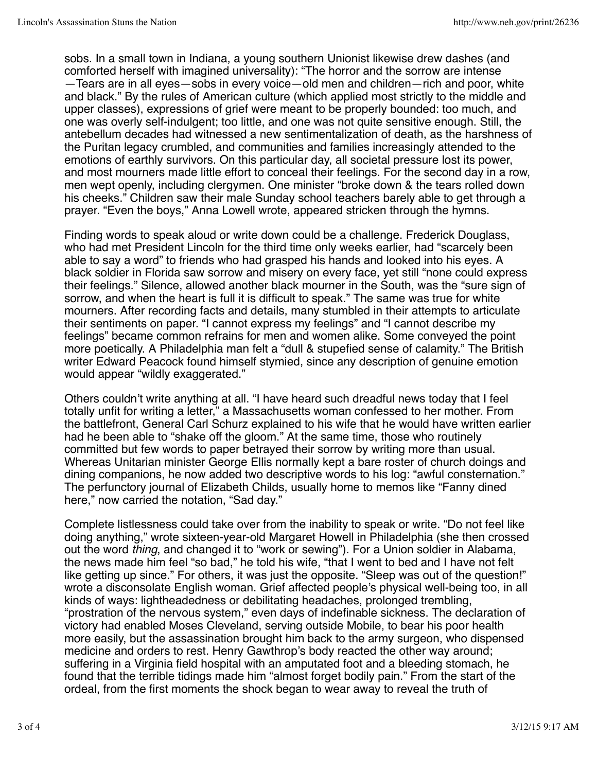sobs. In a small town in Indiana, a young southern Unionist likewise drew dashes (and comforted herself with imagined universality): "The horror and the sorrow are intense —Tears are in all eyes—sobs in every voice—old men and children—rich and poor, white and black." By the rules of American culture (which applied most strictly to the middle and upper classes), expressions of grief were meant to be properly bounded: too much, and one was overly self-indulgent; too little, and one was not quite sensitive enough. Still, the antebellum decades had witnessed a new sentimentalization of death, as the harshness of the Puritan legacy crumbled, and communities and families increasingly attended to the emotions of earthly survivors. On this particular day, all societal pressure lost its power, and most mourners made little effort to conceal their feelings. For the second day in a row, men wept openly, including clergymen. One minister "broke down & the tears rolled down his cheeks." Children saw their male Sunday school teachers barely able to get through a prayer. "Even the boys," Anna Lowell wrote, appeared stricken through the hymns.

Finding words to speak aloud or write down could be a challenge. Frederick Douglass, who had met President Lincoln for the third time only weeks earlier, had "scarcely been able to say a word" to friends who had grasped his hands and looked into his eyes. A black soldier in Florida saw sorrow and misery on every face, yet still "none could express their feelings." Silence, allowed another black mourner in the South, was the "sure sign of sorrow, and when the heart is full it is difficult to speak." The same was true for white mourners. After recording facts and details, many stumbled in their attempts to articulate their sentiments on paper. "I cannot express my feelings" and "I cannot describe my feelings" became common refrains for men and women alike. Some conveyed the point more poetically. A Philadelphia man felt a "dull & stupefied sense of calamity." The British writer Edward Peacock found himself stymied, since any description of genuine emotion would appear "wildly exaggerated."

Others couldn't write anything at all. "I have heard such dreadful news today that I feel totally unfit for writing a letter," a Massachusetts woman confessed to her mother. From the battlefront, General Carl Schurz explained to his wife that he would have written earlier had he been able to "shake off the gloom." At the same time, those who routinely committed but few words to paper betrayed their sorrow by writing more than usual. Whereas Unitarian minister George Ellis normally kept a bare roster of church doings and dining companions, he now added two descriptive words to his log: "awful consternation." The perfunctory journal of Elizabeth Childs, usually home to memos like "Fanny dined here," now carried the notation, "Sad day."

Complete listlessness could take over from the inability to speak or write. "Do not feel like doing anything," wrote sixteen-year-old Margaret Howell in Philadelphia (she then crossed out the word *thing*, and changed it to "work or sewing"). For a Union soldier in Alabama, the news made him feel "so bad," he told his wife, "that I went to bed and I have not felt like getting up since." For others, it was just the opposite. "Sleep was out of the question!" wrote a disconsolate English woman. Grief affected people's physical well-being too, in all kinds of ways: lightheadedness or debilitating headaches, prolonged trembling, "prostration of the nervous system," even days of indefinable sickness. The declaration of victory had enabled Moses Cleveland, serving outside Mobile, to bear his poor health more easily, but the assassination brought him back to the army surgeon, who dispensed medicine and orders to rest. Henry Gawthrop's body reacted the other way around; suffering in a Virginia field hospital with an amputated foot and a bleeding stomach, he found that the terrible tidings made him "almost forget bodily pain." From the start of the ordeal, from the first moments the shock began to wear away to reveal the truth of